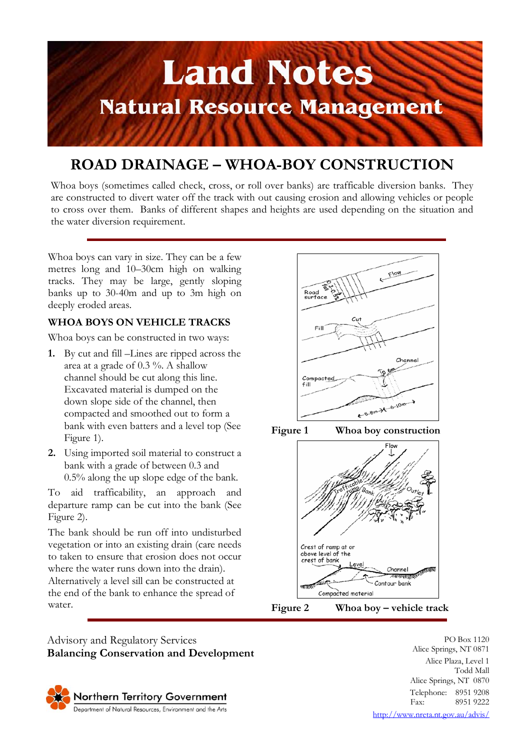

## **ROAD DRAINAGE – WHOA-BOY CONSTRUCTION**

Whoa boys (sometimes called check, cross, or roll over banks) are trafficable diversion banks. They are constructed to divert water off the track with out causing erosion and allowing vehicles or people to cross over them. Banks of different shapes and heights are used depending on the situation and the water diversion requirement.

Whoa boys can vary in size. They can be a few metres long and 10–30cm high on walking tracks. They may be large, gently sloping banks up to 30-40m and up to 3m high on deeply eroded areas.

## **WHOA BOYS ON VEHICLE TRACKS**

Whoa boys can be constructed in two ways:

- **1.** By cut and fill –Lines are ripped across the area at a grade of 0.3 %. A shallow channel should be cut along this line. Excavated material is dumped on the down slope side of the channel, then compacted and smoothed out to form a bank with even batters and a level top (See Figure 1).
- **2.** Using imported soil material to construct a bank with a grade of between 0.3 and 0.5% along the up slope edge of the bank.

To aid trafficability, an approach and departure ramp can be cut into the bank (See Figure 2).

The bank should be run off into undisturbed vegetation or into an existing drain (care needs to taken to ensure that erosion does not occur where the water runs down into the drain). Alternatively a level sill can be constructed at the end of the bank to enhance the spread of water.





**Figure 1 Whoa boy construction** 





Advisory and Regulatory Services **Balancing Conservation and Development**



PO Box 1120 Alice Springs, NT 0871 Alice Plaza, Level 1 Todd Mall Alice Springs, NT 0870 Telephone: 8951 9208 Fax: 8951 9222 http://www.nreta.nt.gov.au/advis/